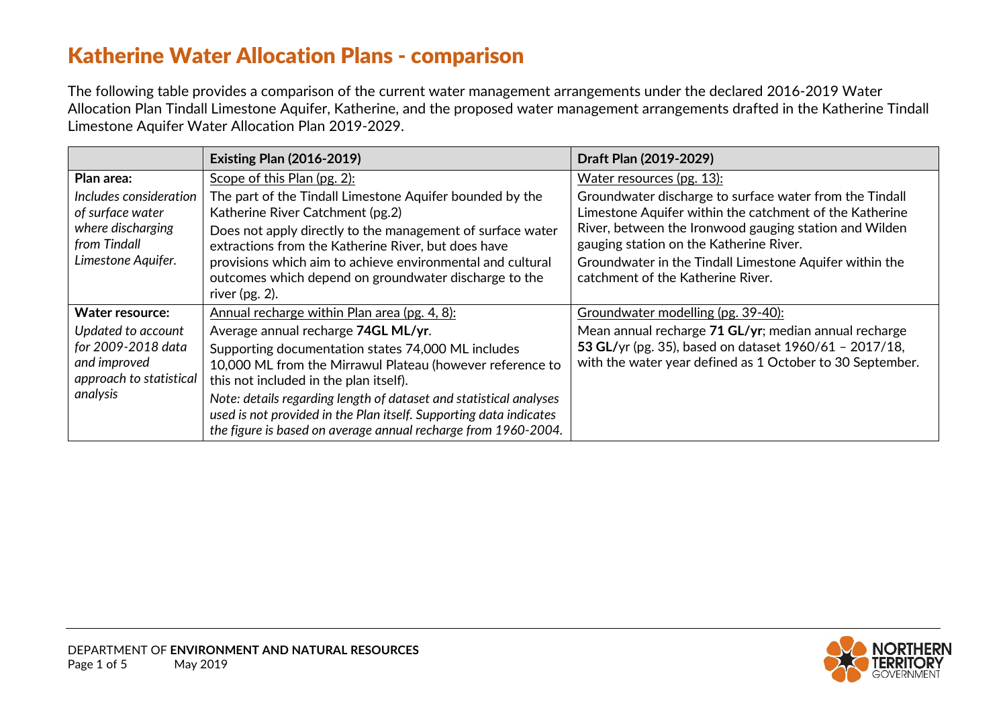## Katherine Water Allocation Plans - comparison

The following table provides a comparison of the current water management arrangements under the declared 2016-2019 Water Allocation Plan Tindall Limestone Aquifer, Katherine, and the proposed water management arrangements drafted in the Katherine Tindall Limestone Aquifer Water Allocation Plan 2019-2029.

|                                                                           | <b>Existing Plan (2016-2019)</b>                                                                                                                                                                           | Draft Plan (2019-2029)                                                                                              |
|---------------------------------------------------------------------------|------------------------------------------------------------------------------------------------------------------------------------------------------------------------------------------------------------|---------------------------------------------------------------------------------------------------------------------|
| Plan area:                                                                | Scope of this Plan (pg. 2):                                                                                                                                                                                | Water resources (pg. 13):                                                                                           |
| Includes consideration<br>of surface water                                | The part of the Tindall Limestone Aquifer bounded by the<br>Katherine River Catchment (pg.2)                                                                                                               | Groundwater discharge to surface water from the Tindall<br>Limestone Aquifer within the catchment of the Katherine  |
| where discharging<br>from Tindall                                         | Does not apply directly to the management of surface water<br>extractions from the Katherine River, but does have                                                                                          | River, between the Ironwood gauging station and Wilden<br>gauging station on the Katherine River.                   |
| Limestone Aquifer.                                                        | provisions which aim to achieve environmental and cultural<br>outcomes which depend on groundwater discharge to the<br>river $(pg. 2)$ .                                                                   | Groundwater in the Tindall Limestone Aquifer within the<br>catchment of the Katherine River.                        |
| Water resource:                                                           | Annual recharge within Plan area (pg. 4, 8):                                                                                                                                                               | Groundwater modelling (pg. 39-40):                                                                                  |
| Updated to account                                                        | Average annual recharge 74GL ML/yr.                                                                                                                                                                        | Mean annual recharge 71 GL/yr; median annual recharge                                                               |
| for 2009-2018 data<br>and improved<br>approach to statistical<br>analysis | Supporting documentation states 74,000 ML includes<br>10,000 ML from the Mirrawul Plateau (however reference to<br>this not included in the plan itself).                                                  | 53 GL/yr (pg. 35), based on dataset 1960/61 - 2017/18,<br>with the water year defined as 1 October to 30 September. |
|                                                                           | Note: details regarding length of dataset and statistical analyses<br>used is not provided in the Plan itself. Supporting data indicates<br>the figure is based on average annual recharge from 1960-2004. |                                                                                                                     |

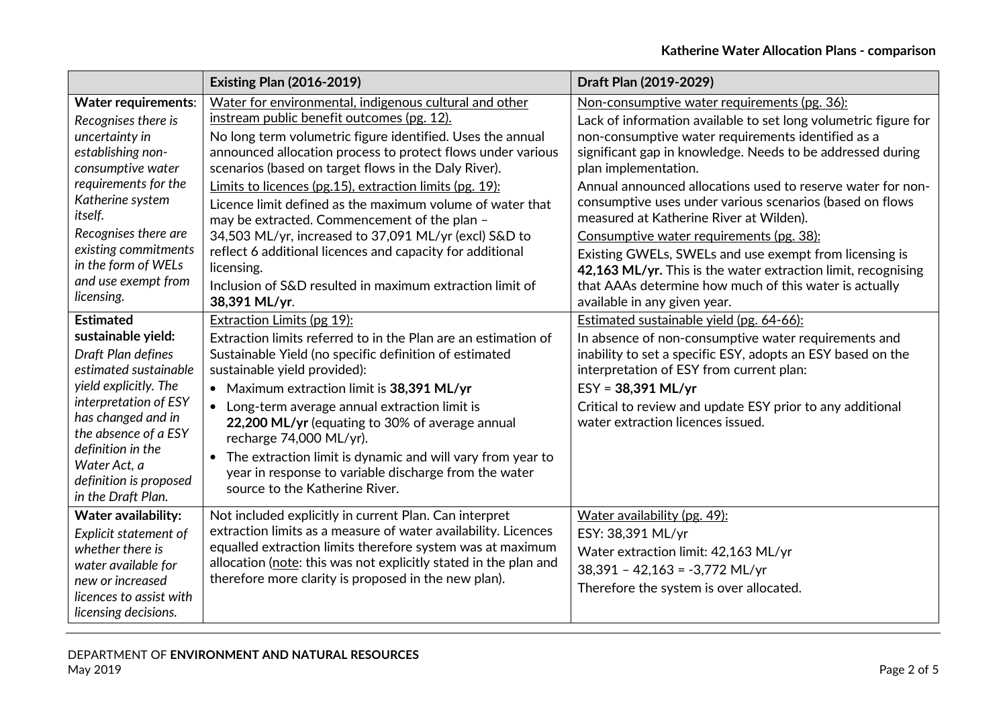|                                                                                                                                                                                                                                                                                  | <b>Existing Plan (2016-2019)</b>                                                                                                                                                                                                                                                                                                                                                                                                                                                                                                                                                                                                                                                   | Draft Plan (2019-2029)                                                                                                                                                                                                                                                                                                                                                                                                                                                                                                                                                                                                                                                                             |
|----------------------------------------------------------------------------------------------------------------------------------------------------------------------------------------------------------------------------------------------------------------------------------|------------------------------------------------------------------------------------------------------------------------------------------------------------------------------------------------------------------------------------------------------------------------------------------------------------------------------------------------------------------------------------------------------------------------------------------------------------------------------------------------------------------------------------------------------------------------------------------------------------------------------------------------------------------------------------|----------------------------------------------------------------------------------------------------------------------------------------------------------------------------------------------------------------------------------------------------------------------------------------------------------------------------------------------------------------------------------------------------------------------------------------------------------------------------------------------------------------------------------------------------------------------------------------------------------------------------------------------------------------------------------------------------|
| <b>Water requirements:</b><br>Recognises there is<br>uncertainty in<br>establishing non-<br>consumptive water<br>requirements for the<br>Katherine system<br>itself.<br>Recognises there are<br>existing commitments<br>in the form of WELs<br>and use exempt from<br>licensing. | Water for environmental, indigenous cultural and other<br>instream public benefit outcomes (pg. 12).<br>No long term volumetric figure identified. Uses the annual<br>announced allocation process to protect flows under various<br>scenarios (based on target flows in the Daly River).<br>Limits to licences (pg.15), extraction limits (pg. 19):<br>Licence limit defined as the maximum volume of water that<br>may be extracted. Commencement of the plan -<br>34,503 ML/yr, increased to 37,091 ML/yr (excl) S&D to<br>reflect 6 additional licences and capacity for additional<br>licensing.<br>Inclusion of S&D resulted in maximum extraction limit of<br>38,391 ML/yr. | Non-consumptive water requirements (pg. 36):<br>Lack of information available to set long volumetric figure for<br>non-consumptive water requirements identified as a<br>significant gap in knowledge. Needs to be addressed during<br>plan implementation.<br>Annual announced allocations used to reserve water for non-<br>consumptive uses under various scenarios (based on flows<br>measured at Katherine River at Wilden).<br>Consumptive water requirements (pg. 38):<br>Existing GWELs, SWELs and use exempt from licensing is<br>42,163 ML/yr. This is the water extraction limit, recognising<br>that AAAs determine how much of this water is actually<br>available in any given year. |
| <b>Estimated</b><br>sustainable yield:<br>Draft Plan defines<br>estimated sustainable<br>yield explicitly. The<br>interpretation of ESY<br>has changed and in<br>the absence of a ESY<br>definition in the<br>Water Act, a<br>definition is proposed<br>in the Draft Plan.       | <b>Extraction Limits (pg 19):</b><br>Extraction limits referred to in the Plan are an estimation of<br>Sustainable Yield (no specific definition of estimated<br>sustainable yield provided):<br>• Maximum extraction limit is 38,391 ML/yr<br>Long-term average annual extraction limit is<br>$\bullet$<br>22,200 ML/yr (equating to 30% of average annual<br>recharge 74,000 ML/yr).<br>The extraction limit is dynamic and will vary from year to<br>$\bullet$<br>year in response to variable discharge from the water<br>source to the Katherine River.                                                                                                                       | Estimated sustainable yield (pg. 64-66):<br>In absence of non-consumptive water requirements and<br>inability to set a specific ESY, adopts an ESY based on the<br>interpretation of ESY from current plan:<br>$ESY = 38,391 \text{ ML/yr}$<br>Critical to review and update ESY prior to any additional<br>water extraction licences issued.                                                                                                                                                                                                                                                                                                                                                      |
| Water availability:<br>Explicit statement of<br>whether there is<br>water available for<br>new or increased<br>licences to assist with<br>licensing decisions.                                                                                                                   | Not included explicitly in current Plan. Can interpret<br>extraction limits as a measure of water availability. Licences<br>equalled extraction limits therefore system was at maximum<br>allocation (note: this was not explicitly stated in the plan and<br>therefore more clarity is proposed in the new plan).                                                                                                                                                                                                                                                                                                                                                                 | Water availability (pg. 49):<br>ESY: 38,391 ML/yr<br>Water extraction limit: 42,163 ML/yr<br>$38,391 - 42,163 = -3,772$ ML/yr<br>Therefore the system is over allocated.                                                                                                                                                                                                                                                                                                                                                                                                                                                                                                                           |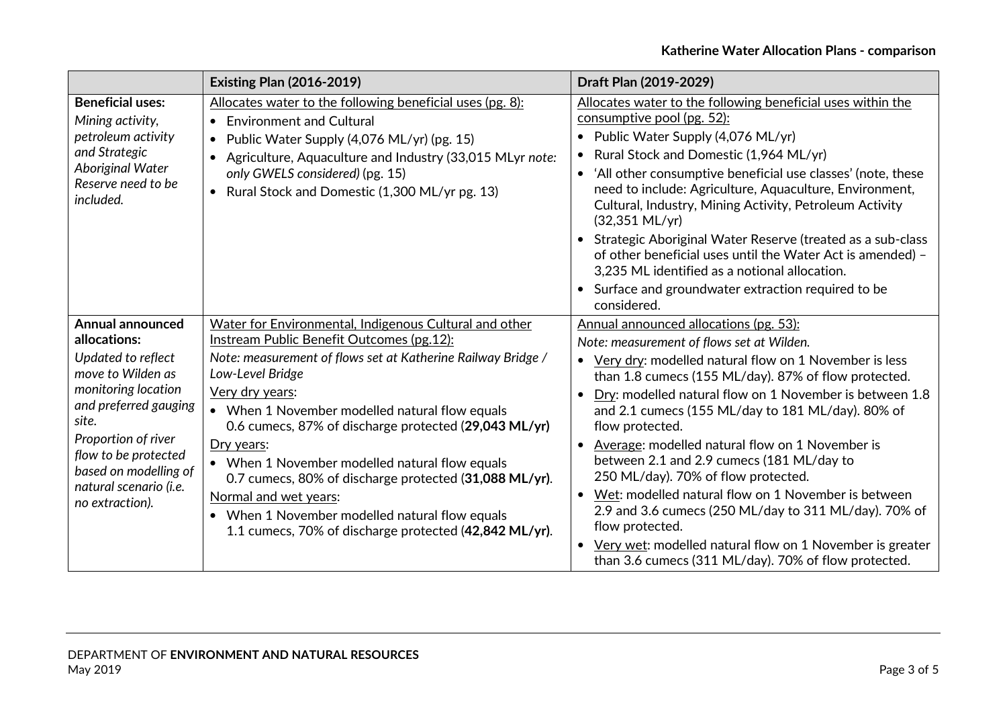|                                                                                                                                                                                                                                                                  | <b>Existing Plan (2016-2019)</b>                                                                                                                                                                                                                                                                                                                                                                                                                                                                                                                                                     | Draft Plan (2019-2029)                                                                                                                                                                                                                                                                                                                                                                                                                                                                                                                                                                                                                                                                                                                                                         |
|------------------------------------------------------------------------------------------------------------------------------------------------------------------------------------------------------------------------------------------------------------------|--------------------------------------------------------------------------------------------------------------------------------------------------------------------------------------------------------------------------------------------------------------------------------------------------------------------------------------------------------------------------------------------------------------------------------------------------------------------------------------------------------------------------------------------------------------------------------------|--------------------------------------------------------------------------------------------------------------------------------------------------------------------------------------------------------------------------------------------------------------------------------------------------------------------------------------------------------------------------------------------------------------------------------------------------------------------------------------------------------------------------------------------------------------------------------------------------------------------------------------------------------------------------------------------------------------------------------------------------------------------------------|
| <b>Beneficial uses:</b><br>Mining activity,<br>petroleum activity<br>and Strategic<br>Aboriginal Water<br>Reserve need to be<br>included.                                                                                                                        | Allocates water to the following beneficial uses (pg. 8):<br>• Environment and Cultural<br>Public Water Supply (4,076 ML/yr) (pg. 15)<br>$\bullet$<br>Agriculture, Aquaculture and Industry (33,015 MLyr note:<br>only GWELS considered) (pg. 15)<br>Rural Stock and Domestic (1,300 ML/yr pg. 13)<br>$\bullet$                                                                                                                                                                                                                                                                      | Allocates water to the following beneficial uses within the<br>consumptive pool (pg. 52):<br>• Public Water Supply (4,076 ML/yr)<br>Rural Stock and Domestic (1,964 ML/yr)<br>$\bullet$<br>• 'All other consumptive beneficial use classes' (note, these<br>need to include: Agriculture, Aquaculture, Environment,<br>Cultural, Industry, Mining Activity, Petroleum Activity<br>$(32,351 \text{ ML/yr})$<br>Strategic Aboriginal Water Reserve (treated as a sub-class<br>of other beneficial uses until the Water Act is amended) -<br>3,235 ML identified as a notional allocation.<br>• Surface and groundwater extraction required to be<br>considered.                                                                                                                  |
| <b>Annual announced</b><br>allocations:<br>Updated to reflect<br>move to Wilden as<br>monitoring location<br>and preferred gauging<br>site.<br>Proportion of river<br>flow to be protected<br>based on modelling of<br>natural scenario (i.e.<br>no extraction). | Water for Environmental, Indigenous Cultural and other<br>Instream Public Benefit Outcomes (pg.12):<br>Note: measurement of flows set at Katherine Railway Bridge /<br>Low-Level Bridge<br>Very dry years:<br>• When 1 November modelled natural flow equals<br>0.6 cumecs, 87% of discharge protected (29,043 ML/yr)<br>Dry years:<br>• When 1 November modelled natural flow equals<br>0.7 cumecs, 80% of discharge protected (31,088 ML/yr).<br>Normal and wet years:<br>• When 1 November modelled natural flow equals<br>1.1 cumecs, 70% of discharge protected (42,842 ML/yr). | Annual announced allocations (pg. 53):<br>Note: measurement of flows set at Wilden.<br>• Very dry: modelled natural flow on 1 November is less<br>than 1.8 cumecs (155 ML/day). 87% of flow protected.<br>Dry: modelled natural flow on 1 November is between 1.8<br>and 2.1 cumecs (155 ML/day to 181 ML/day). 80% of<br>flow protected.<br>Average: modelled natural flow on 1 November is<br>$\bullet$<br>between 2.1 and 2.9 cumecs (181 ML/day to<br>250 ML/day). 70% of flow protected.<br>Wet: modelled natural flow on 1 November is between<br>$\bullet$<br>2.9 and 3.6 cumecs (250 ML/day to 311 ML/day). 70% of<br>flow protected.<br>Very wet: modelled natural flow on 1 November is greater<br>$\bullet$<br>than 3.6 cumecs (311 ML/day). 70% of flow protected. |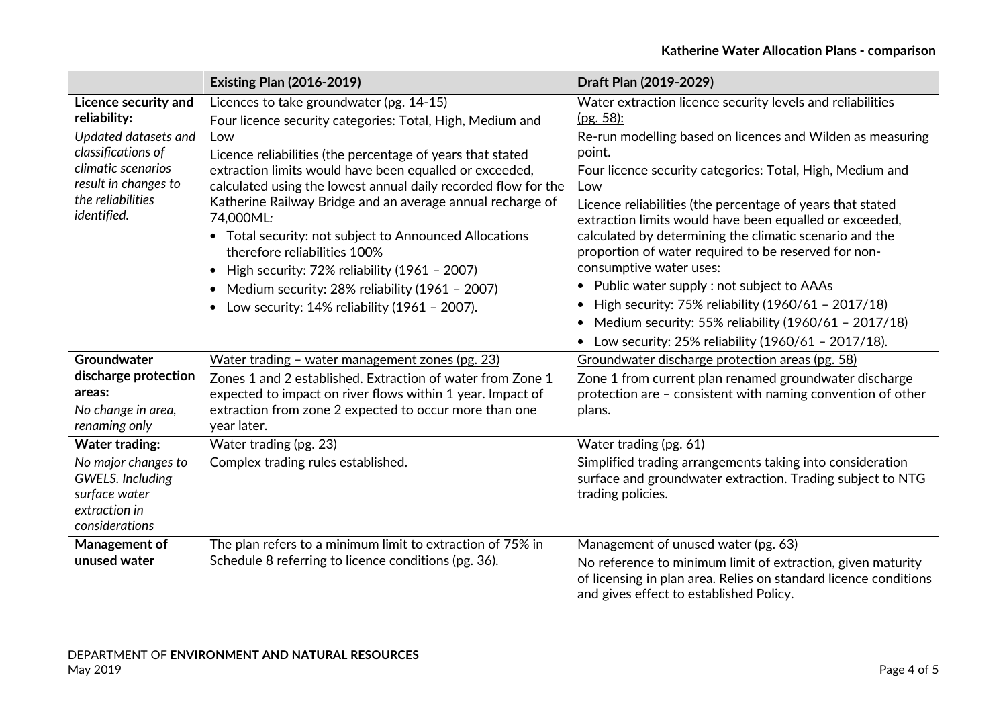|                                                                                                                                                                                                                     | <b>Existing Plan (2016-2019)</b>                                                                                                                                                                                                                                                                                                                                                                                                                                                                                                                                                                                                                                             | Draft Plan (2019-2029)                                                                                                                                                                                                                                                                                                                                                                                                                                                                                                                                                                                                                                                   |
|---------------------------------------------------------------------------------------------------------------------------------------------------------------------------------------------------------------------|------------------------------------------------------------------------------------------------------------------------------------------------------------------------------------------------------------------------------------------------------------------------------------------------------------------------------------------------------------------------------------------------------------------------------------------------------------------------------------------------------------------------------------------------------------------------------------------------------------------------------------------------------------------------------|--------------------------------------------------------------------------------------------------------------------------------------------------------------------------------------------------------------------------------------------------------------------------------------------------------------------------------------------------------------------------------------------------------------------------------------------------------------------------------------------------------------------------------------------------------------------------------------------------------------------------------------------------------------------------|
| Licence security and<br>reliability:<br>Updated datasets and<br>classifications of<br>climatic scenarios<br>result in changes to<br>the reliabilities<br>identified.                                                | Licences to take groundwater (pg. 14-15)<br>Four licence security categories: Total, High, Medium and<br>Low<br>Licence reliabilities (the percentage of years that stated<br>extraction limits would have been equalled or exceeded,<br>calculated using the lowest annual daily recorded flow for the<br>Katherine Railway Bridge and an average annual recharge of<br>74,000ML:<br>• Total security: not subject to Announced Allocations<br>therefore reliabilities 100%<br>High security: 72% reliability (1961 - 2007)<br>$\bullet$<br>Medium security: 28% reliability (1961 - 2007)<br>$\bullet$<br>Low security: $14\%$ reliability ( $1961 - 2007$ ).<br>$\bullet$ | Water extraction licence security levels and reliabilities<br>(pg. 58):<br>Re-run modelling based on licences and Wilden as measuring<br>point.<br>Four licence security categories: Total, High, Medium and<br>Low<br>Licence reliabilities (the percentage of years that stated<br>extraction limits would have been equalled or exceeded,<br>calculated by determining the climatic scenario and the<br>proportion of water required to be reserved for non-<br>consumptive water uses:<br>• Public water supply : not subject to AAAs<br>High security: 75% reliability (1960/61 - 2017/18)<br>$\bullet$<br>• Medium security: 55% reliability $(1960/61 - 2017/18)$ |
| Groundwater<br>discharge protection<br>areas:<br>No change in area,<br>renaming only<br><b>Water trading:</b><br>No major changes to<br><b>GWELS.</b> Including<br>surface water<br>extraction in<br>considerations | Water trading - water management zones (pg. 23)<br>Zones 1 and 2 established. Extraction of water from Zone 1<br>expected to impact on river flows within 1 year. Impact of<br>extraction from zone 2 expected to occur more than one<br>year later.<br>Water trading (pg. 23)<br>Complex trading rules established.                                                                                                                                                                                                                                                                                                                                                         | Low security: 25% reliability (1960/61 - 2017/18).<br>Groundwater discharge protection areas (pg. 58)<br>Zone 1 from current plan renamed groundwater discharge<br>protection are - consistent with naming convention of other<br>plans.<br>Water trading (pg. 61)<br>Simplified trading arrangements taking into consideration<br>surface and groundwater extraction. Trading subject to NTG<br>trading policies.                                                                                                                                                                                                                                                       |
| Management of<br>unused water                                                                                                                                                                                       | The plan refers to a minimum limit to extraction of 75% in<br>Schedule 8 referring to licence conditions (pg. 36).                                                                                                                                                                                                                                                                                                                                                                                                                                                                                                                                                           | Management of unused water (pg. 63)<br>No reference to minimum limit of extraction, given maturity<br>of licensing in plan area. Relies on standard licence conditions<br>and gives effect to established Policy.                                                                                                                                                                                                                                                                                                                                                                                                                                                        |